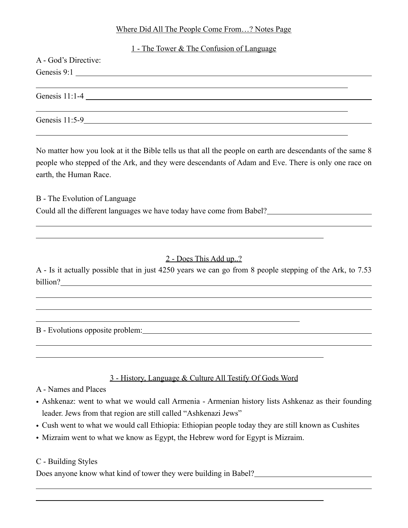#### Where Did All The People Come From…? Notes Page

|                      | 1 - The Tower & The Confusion of Language |  |
|----------------------|-------------------------------------------|--|
| A - God's Directive: |                                           |  |
|                      | Genesis 9:1                               |  |
|                      |                                           |  |
|                      |                                           |  |
|                      |                                           |  |
| Genesis 11:5-9       |                                           |  |

No matter how you look at it the Bible tells us that all the people on earth are descendants of the same 8 people who stepped of the Ark, and they were descendants of Adam and Eve. There is only one race on earth, the Human Race.

B - The Evolution of Language Could all the different languages we have today have come from Babel?

# 2 - Does This Add up..?

A - Is it actually possible that in just 4250 years we can go from 8 people stepping of the Ark, to 7.53 billion?

B - Evolutions opposite problem:

# 3 - History, Language & Culture All Testify Of Gods Word

A - Names and Places

 $\overline{a}$  $\overline{a}$ 

 $\overline{a}$ 

 $\overline{a}$ 

 $\overline{a}$ 

 $\overline{a}$  $\overline{a}$ 

- Ashkenaz: went to what we would call Armenia Armenian history lists Ashkenaz as their founding leader. Jews from that region are still called "Ashkenazi Jews"
- Cush went to what we would call Ethiopia: Ethiopian people today they are still known as Cushites
- Mizraim went to what we know as Egypt, the Hebrew word for Egypt is Mizraim.

#### C - Building Styles

Does anyone know what kind of tower they were building in Babel?